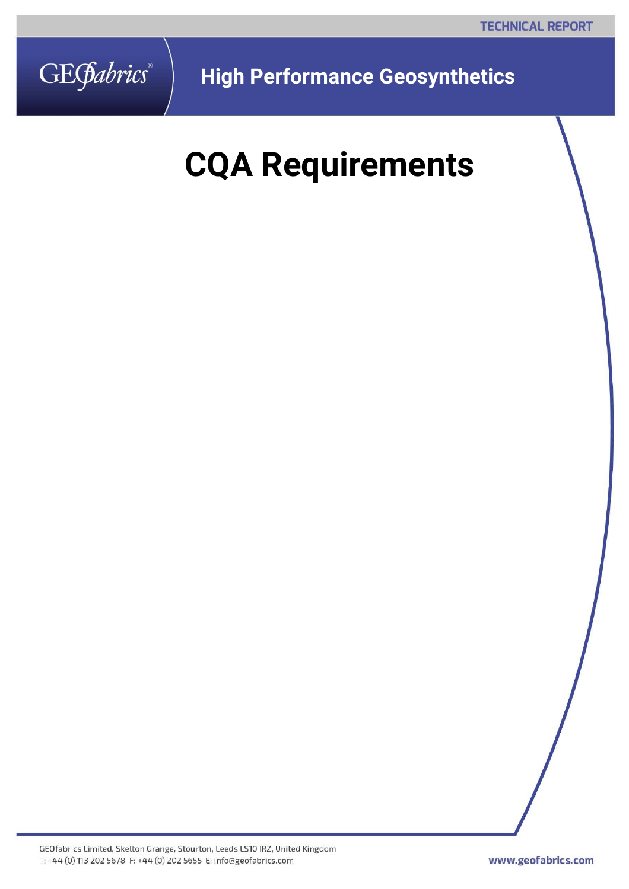

**High Performance Geosynthetics** 

# **CQA Requirements**

GEOfabrics Limited, Skelton Grange, Stourton, Leeds LS10 IRZ, United Kingdom T: +44 (0) 113 202 5678 F: +44 (0) 202 5655 E: info@geofabrics.com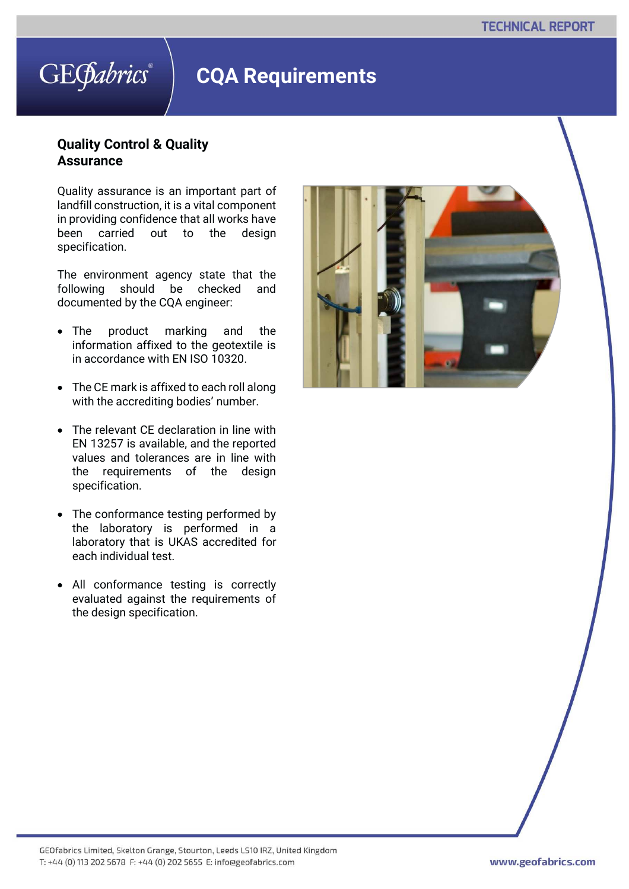### **CQA Requirements**

#### **Quality Control & Quality Assurance**

Quality assurance is an important part of landfill construction, it is a vital component in providing confidence that all works have been carried out to the design specification.

The environment agency state that the following should be checked and documented by the CQA engineer:

- The product marking and the information affixed to the geotextile is in accordance with EN ISO 10320.
- The CE mark is affixed to each roll along with the accrediting bodies' number.
- The relevant CE declaration in line with EN 13257 is available, and the reported values and tolerances are in line with the requirements of the design specification.
- The conformance testing performed by the laboratory is performed in a laboratory that is UKAS accredited for each individual test.
- All conformance testing is correctly evaluated against the requirements of the design specification.

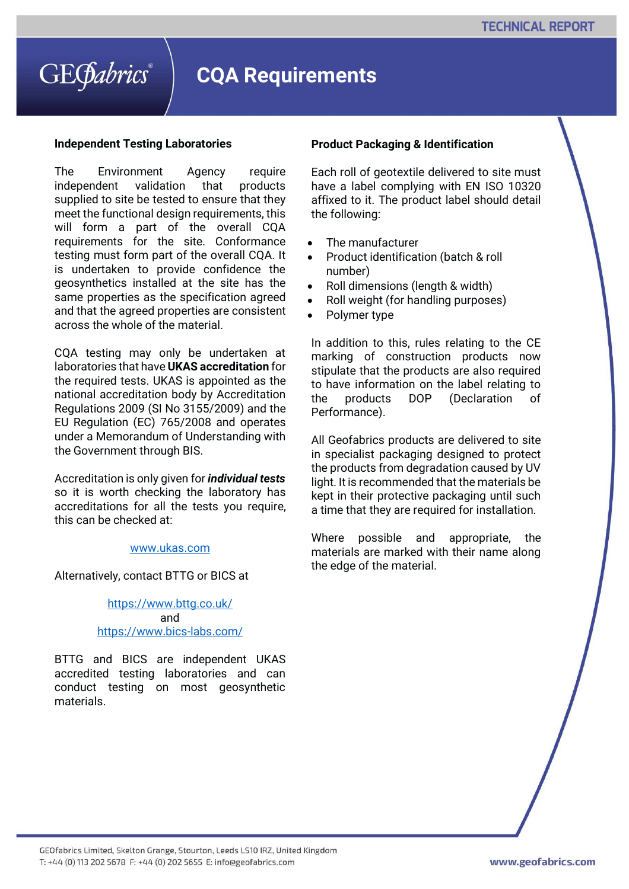### **CQA Requirements**

#### **Independent Testing Laboratories**

The Environment Agency require independent validation that products supplied to site be tested to ensure that they meet the functional design requirements, this will form a part of the overall CQA requirements for the site. Conformance testing must form part of the overall CQA. It is undertaken to provide confidence the geosynthetics installed at the site has the same properties as the specification agreed and that the agreed properties are consistent across the whole of the material.

CQA testing may only be undertaken at laboratories that have **UKAS accreditation** for the required tests. UKAS is appointed as the national accreditation body by Accreditation Regulations 2009 (SI No 3155/2009) and the EU Regulation (EC) 765/2008 and operates under a Memorandum of Understanding with the Government through BIS.

Accreditation is only given for *individual tests* so it is worth checking the laboratory has accreditations for all the tests you require, this can be checked at:

#### www.ukas.com

Alternatively, contact BTTG or BICS at

https://www.bttg.co.uk/ and https://www.bics-labs.com/

BTTG and BICS are independent UKAS accredited testing laboratories and can conduct testing on most geosynthetic materials.

#### **Product Packaging & Identification**

Each roll of geotextile delivered to site must have a label complying with EN ISO 10320 affixed to it. The product label should detail the following:

- The manufacturer
- Product identification (batch & roll number)
- Roll dimensions (length & width)
- Roll weight (for handling purposes)
- Polymer type

In addition to this, rules relating to the CE marking of construction products now stipulate that the products are also required to have information on the label relating to the products DOP (Declaration of Performance).

All Geofabrics products are delivered to site in specialist packaging designed to protect the products from degradation caused by UV light. It is recommended that the materials be kept in their protective packaging until such a time that they are required for installation.

Where possible and appropriate, the materials are marked with their name along the edge of the material.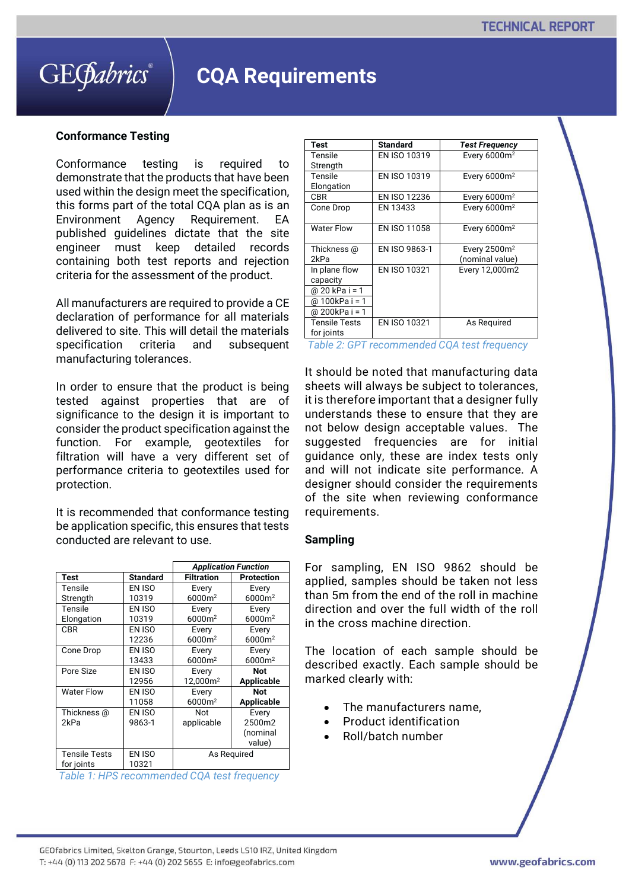### **CQA Requirements**

#### **Conformance Testing**

Conformance testing is required to demonstrate that the products that have been used within the design meet the specification, this forms part of the total CQA plan as is an Environment Agency Requirement. EA published guidelines dictate that the site engineer must keep detailed records containing both test reports and rejection criteria for the assessment of the product.

All manufacturers are required to provide a CE declaration of performance for all materials delivered to site. This will detail the materials specification criteria and subsequent manufacturing tolerances.

In order to ensure that the product is being tested against properties that are of significance to the design it is important to consider the product specification against the function. For example, geotextiles for filtration will have a very different set of performance criteria to geotextiles used for protection.

It is recommended that conformance testing be application specific, this ensures that tests conducted are relevant to use.

|                      |                 | <b>Application Function</b> |                    |
|----------------------|-----------------|-----------------------------|--------------------|
| <b>Test</b>          | <b>Standard</b> | <b>Filtration</b>           | <b>Protection</b>  |
| Tensile              | EN ISO          | Every                       | Every              |
| Strength             | 10319           | $6000m^2$                   | 6000m <sup>2</sup> |
| Tensile              | EN ISO          | Every                       | Every              |
| Elongation           | 10319           | 6000m <sup>2</sup>          | 6000m <sup>2</sup> |
| <b>CBR</b>           | EN ISO          | Every                       | Every              |
|                      | 12236           | 6000m <sup>2</sup>          | 6000m <sup>2</sup> |
| Cone Drop            | EN ISO          | Every                       | Every              |
|                      | 13433           | 6000m <sup>2</sup>          | 6000m <sup>2</sup> |
| Pore Size            | EN ISO          | Every                       | <b>Not</b>         |
|                      | 12956           | 12,000m <sup>2</sup>        | <b>Applicable</b>  |
| <b>Water Flow</b>    | EN ISO          | Every                       | Not                |
|                      | 11058           | 6000m <sup>2</sup>          | Applicable         |
| Thickness @          | EN ISO          | Not                         | Every              |
| 2kPa                 | 9863-1          | applicable                  | 2500m2             |
|                      |                 |                             | (nominal           |
|                      |                 |                             | value)             |
| <b>Tensile Tests</b> | EN ISO          | As Reguired                 |                    |
| for joints           | 10321           |                             |                    |

*Table 1: HPS recommended CQA test frequency* 

| Test              | <b>Standard</b>     | <b>Test Frequency</b>    |
|-------------------|---------------------|--------------------------|
| Tensile           | EN ISO 10319        | Every 6000m <sup>2</sup> |
| Strength          |                     |                          |
| Tensile           | EN ISO 10319        | Every $6000m^2$          |
| Elongation        |                     |                          |
| <b>CBR</b>        | <b>EN ISO 12236</b> | Every $6000m^2$          |
| Cone Drop         | EN 13433            | Every 6000m <sup>2</sup> |
|                   |                     |                          |
| <b>Water Flow</b> | EN ISO 11058        | Every $6000m^2$          |
|                   |                     |                          |
| Thickness @       | EN ISO 9863-1       | Every $2500m^2$          |
| 2kPa              |                     | (nominal value)          |
| In plane flow     | EN ISO 10321        | Every 12,000m2           |
| capacity          |                     |                          |
| @ 20 kPa i = 1    |                     |                          |
| @ 100kPa i = 1    |                     |                          |
| @ 200kPa i = 1    |                     |                          |
| Tensile Tests     | EN ISO 10321        | As Reguired              |
| for joints        |                     |                          |

*Table 2: GPT recommended CQA test frequency*

It should be noted that manufacturing data sheets will always be subject to tolerances, it is therefore important that a designer fully understands these to ensure that they are not below design acceptable values. The suggested frequencies are for initial guidance only, these are index tests only and will not indicate site performance. A designer should consider the requirements of the site when reviewing conformance requirements.

#### **Sampling**

For sampling, EN ISO 9862 should be applied, samples should be taken not less than 5m from the end of the roll in machine direction and over the full width of the roll in the cross machine direction.

The location of each sample should be described exactly. Each sample should be marked clearly with:

- The manufacturers name,
- Product identification
- Roll/batch number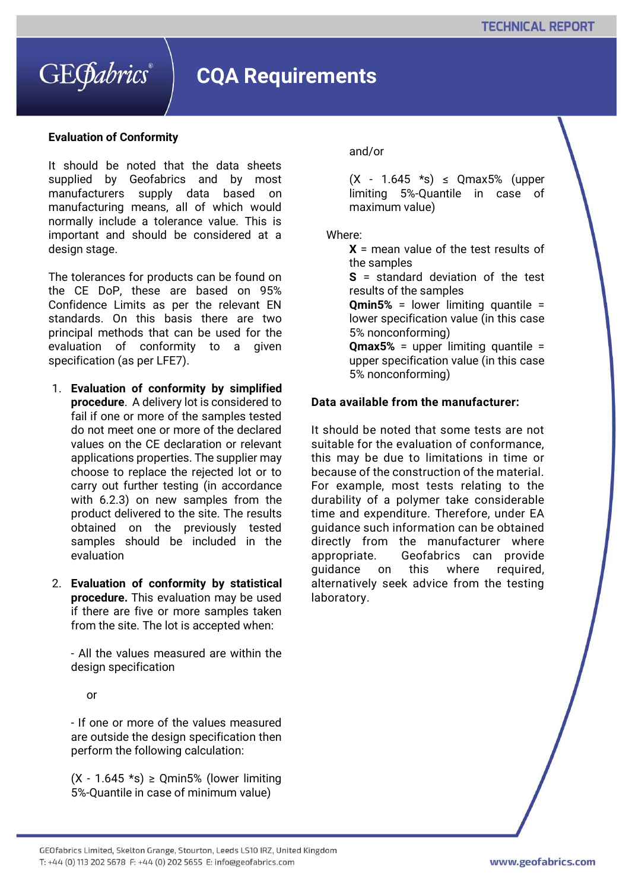

### **CQA Requirements**

#### **Evaluation of Conformity**

It should be noted that the data sheets supplied by Geofabrics and by most manufacturers supply data based on manufacturing means, all of which would normally include a tolerance value. This is important and should be considered at a design stage.

The tolerances for products can be found on the CE DoP, these are based on 95% Confidence Limits as per the relevant EN standards. On this basis there are two principal methods that can be used for the evaluation of conformity to a given specification (as per LFE7).

- 1. **Evaluation of conformity by simplified procedure**. A delivery lot is considered to fail if one or more of the samples tested do not meet one or more of the declared values on the CE declaration or relevant applications properties. The supplier may choose to replace the rejected lot or to carry out further testing (in accordance with 6.2.3) on new samples from the product delivered to the site. The results obtained on the previously tested samples should be included in the evaluation
- 2. **Evaluation of conformity by statistical procedure.** This evaluation may be used if there are five or more samples taken from the site. The lot is accepted when:

- All the values measured are within the design specification

or

- If one or more of the values measured are outside the design specification then perform the following calculation:

 $(X - 1.645 \cdot s) \geq$  Qmin5% (lower limiting 5%-Quantile in case of minimum value)

#### and/or

 $(X - 1.645 *s) \leq Qmax5\%$  (upper limiting 5%-Quantile in case of maximum value)

#### Where:

**X** = mean value of the test results of the samples

**S** = standard deviation of the test results of the samples

**Qmin5%** = lower limiting quantile = lower specification value (in this case 5% nonconforming)

**Qmax5%** = upper limiting quantile = upper specification value (in this case 5% nonconforming)

#### **Data available from the manufacturer:**

It should be noted that some tests are not suitable for the evaluation of conformance, this may be due to limitations in time or because of the construction of the material. For example, most tests relating to the durability of a polymer take considerable time and expenditure. Therefore, under EA guidance such information can be obtained directly from the manufacturer where appropriate. Geofabrics can provide guidance on this where required, alternatively seek advice from the testing laboratory.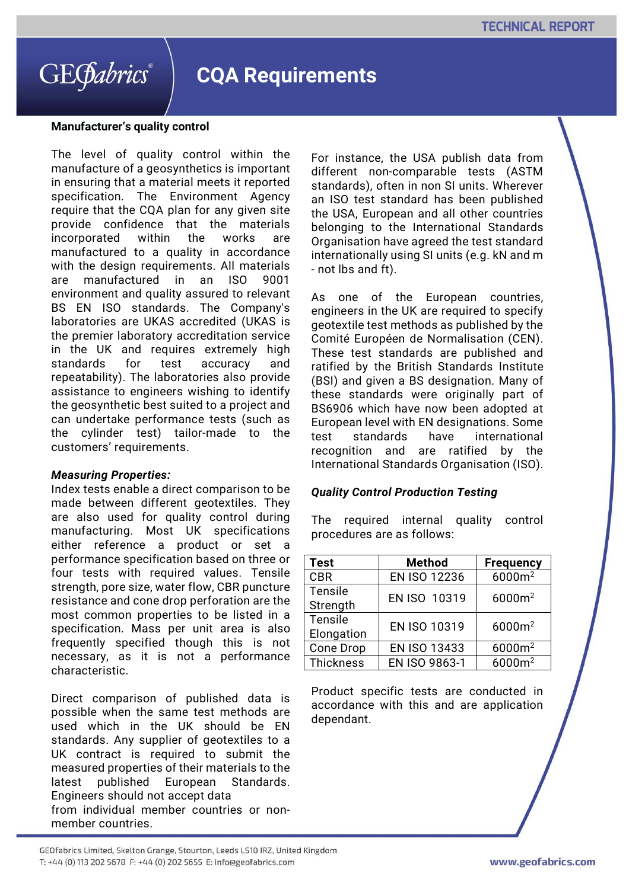### **CQA Requirements**

#### **Manufacturer's quality control**

The level of quality control within the manufacture of a geosynthetics is important in ensuring that a material meets it reported specification. The Environment Agency require that the CQA plan for any given site provide confidence that the materials incorporated within the works are manufactured to a quality in accordance with the design requirements. All materials are manufactured in an ISO 9001 environment and quality assured to relevant BS EN ISO standards. The Company's laboratories are UKAS accredited (UKAS is the premier laboratory accreditation service in the UK and requires extremely high standards for test accuracy and repeatability). The laboratories also provide assistance to engineers wishing to identify the geosynthetic best suited to a project and can undertake performance tests (such as the cylinder test) tailor-made to the customers' requirements.

#### *Measuring Properties:*

Index tests enable a direct comparison to be made between different geotextiles. They are also used for quality control during manufacturing. Most UK specifications either reference a product or set a performance specification based on three or four tests with required values. Tensile strength, pore size, water flow, CBR puncture resistance and cone drop perforation are the most common properties to be listed in a specification. Mass per unit area is also frequently specified though this is not necessary, as it is not a performance characteristic.

Direct comparison of published data is possible when the same test methods are used which in the UK should be EN standards. Any supplier of geotextiles to a UK contract is required to submit the measured properties of their materials to the latest published European Standards. Engineers should not accept data from individual member countries or nonmember countries.

For instance, the USA publish data from different non-comparable tests (ASTM standards), often in non SI units. Wherever an ISO test standard has been published the USA, European and all other countries belonging to the International Standards Organisation have agreed the test standard internationally using SI units (e.g. kN and m - not lbs and ft).

As one of the European countries, engineers in the UK are required to specify geotextile test methods as published by the Comité Européen de Normalisation (CEN). These test standards are published and ratified by the British Standards Institute (BSI) and given a BS designation. Many of these standards were originally part of BS6906 which have now been adopted at European level with EN designations. Some test standards have international recognition and are ratified by the International Standards Organisation (ISO).

#### *Quality Control Production Testing*

The required internal quality control procedures are as follows:

| <b>Test</b> | <b>Method</b>       | <b>Frequency</b>   |
|-------------|---------------------|--------------------|
| <b>CBR</b>  | EN ISO 12236        | 6000m <sup>2</sup> |
| Tensile     | EN ISO 10319        | $6000m^2$          |
| Strength    |                     |                    |
| Tensile     | <b>EN ISO 10319</b> | $6000m^2$          |
| Elongation  |                     |                    |
| Cone Drop   | <b>EN ISO 13433</b> | 6000m <sup>2</sup> |
| Thickness   | EN ISO 9863-1       | $6000m^2$          |

Product specific tests are conducted in accordance with this and are application dependant.